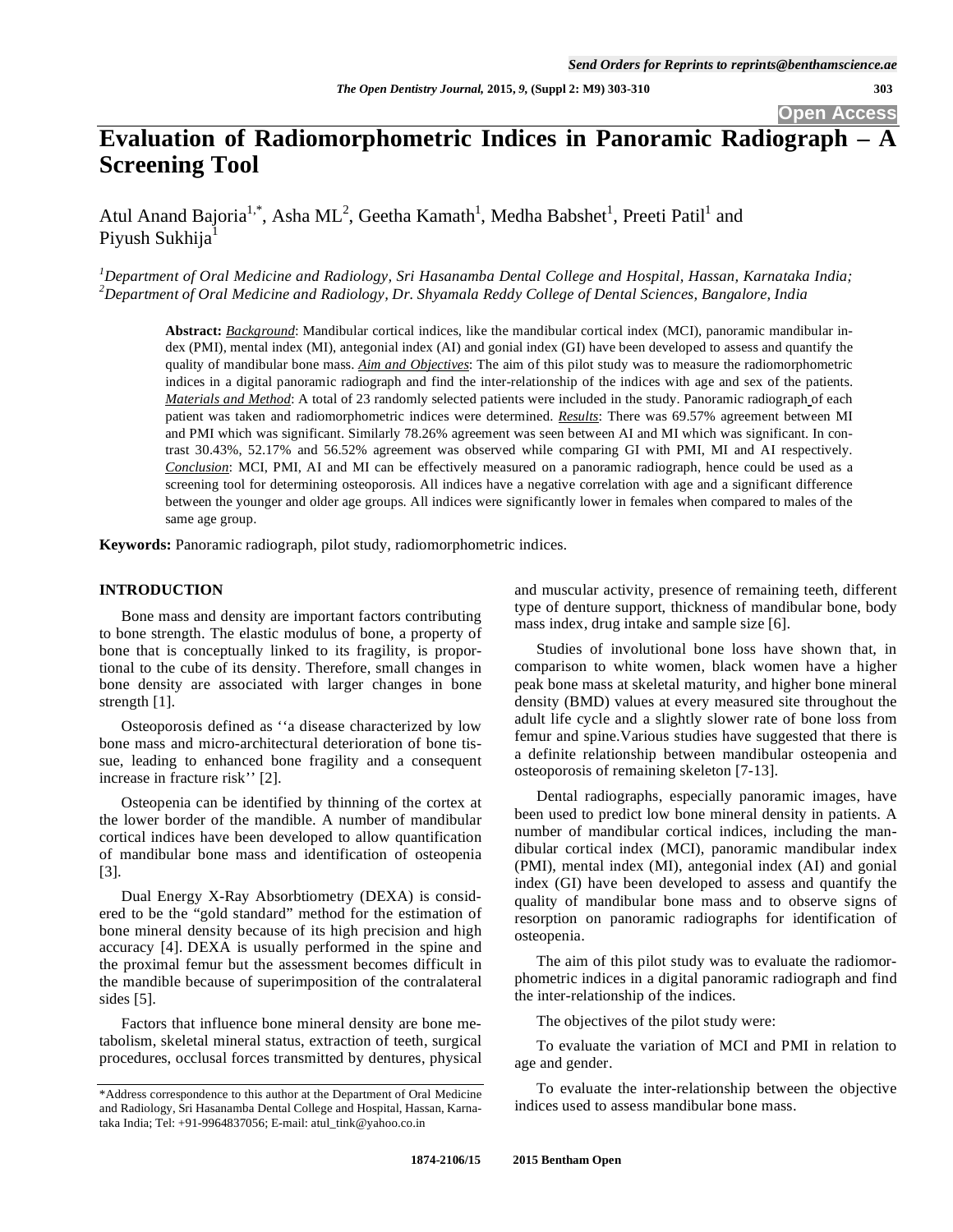# **Evaluation of Radiomorphometric Indices in Panoramic Radiograph – A Screening Tool**

Atul Anand Bajoria<sup>1,\*</sup>, Asha ML<sup>2</sup>, Geetha Kamath<sup>1</sup>, Medha Babshet<sup>1</sup>, Preeti Patil<sup>1</sup> and Piyush Sukhija<sup>1</sup>

*1 Department of Oral Medicine and Radiology, Sri Hasanamba Dental College and Hospital, Hassan, Karnataka India; 2 Department of Oral Medicine and Radiology, Dr. Shyamala Reddy College of Dental Sciences, Bangalore, India* 

**Abstract:** *Background*: Mandibular cortical indices, like the mandibular cortical index (MCI), panoramic mandibular index (PMI), mental index (MI), antegonial index (AI) and gonial index (GI) have been developed to assess and quantify the quality of mandibular bone mass. *Aim and Objectives*: The aim of this pilot study was to measure the radiomorphometric indices in a digital panoramic radiograph and find the inter-relationship of the indices with age and sex of the patients. *Materials and Method*: A total of 23 randomly selected patients were included in the study. Panoramic radiograph of each patient was taken and radiomorphometric indices were determined. *Results*: There was 69.57% agreement between MI and PMI which was significant. Similarly 78.26% agreement was seen between AI and MI which was significant. In contrast 30.43%, 52.17% and 56.52% agreement was observed while comparing GI with PMI, MI and AI respectively. *Conclusion*: MCI, PMI, AI and MI can be effectively measured on a panoramic radiograph, hence could be used as a screening tool for determining osteoporosis. All indices have a negative correlation with age and a significant difference between the younger and older age groups. All indices were significantly lower in females when compared to males of the same age group.

**Keywords:** Panoramic radiograph, pilot study, radiomorphometric indices.

## **INTRODUCTION**

Bone mass and density are important factors contributing to bone strength. The elastic modulus of bone, a property of bone that is conceptually linked to its fragility, is proportional to the cube of its density. Therefore, small changes in bone density are associated with larger changes in bone strength [1].

Osteoporosis defined as ''a disease characterized by low bone mass and micro-architectural deterioration of bone tissue, leading to enhanced bone fragility and a consequent increase in fracture risk'' [2].

Osteopenia can be identified by thinning of the cortex at the lower border of the mandible. A number of mandibular cortical indices have been developed to allow quantification of mandibular bone mass and identification of osteopenia [3].

Dual Energy X-Ray Absorbtiometry (DEXA) is considered to be the "gold standard" method for the estimation of bone mineral density because of its high precision and high accuracy [4]. DEXA is usually performed in the spine and the proximal femur but the assessment becomes difficult in the mandible because of superimposition of the contralateral sides [5].

Factors that influence bone mineral density are bone metabolism, skeletal mineral status, extraction of teeth, surgical procedures, occlusal forces transmitted by dentures, physical and muscular activity, presence of remaining teeth, different type of denture support, thickness of mandibular bone, body mass index, drug intake and sample size [6].

Studies of involutional bone loss have shown that, in comparison to white women, black women have a higher peak bone mass at skeletal maturity, and higher bone mineral density (BMD) values at every measured site throughout the adult life cycle and a slightly slower rate of bone loss from femur and spine.Various studies have suggested that there is a definite relationship between mandibular osteopenia and osteoporosis of remaining skeleton [7-13].

Dental radiographs, especially panoramic images, have been used to predict low bone mineral density in patients. A number of mandibular cortical indices, including the mandibular cortical index (MCI), panoramic mandibular index (PMI), mental index (MI), antegonial index (AI) and gonial index (GI) have been developed to assess and quantify the quality of mandibular bone mass and to observe signs of resorption on panoramic radiographs for identification of osteopenia.

The aim of this pilot study was to evaluate the radiomorphometric indices in a digital panoramic radiograph and find the inter-relationship of the indices.

The objectives of the pilot study were:

To evaluate the variation of MCI and PMI in relation to age and gender.

To evaluate the inter-relationship between the objective indices used to assess mandibular bone mass.

<sup>\*</sup>Address correspondence to this author at the Department of Oral Medicine and Radiology, Sri Hasanamba Dental College and Hospital, Hassan, Karnataka India; Tel: +91-9964837056; E-mail: atul\_tink@yahoo.co.in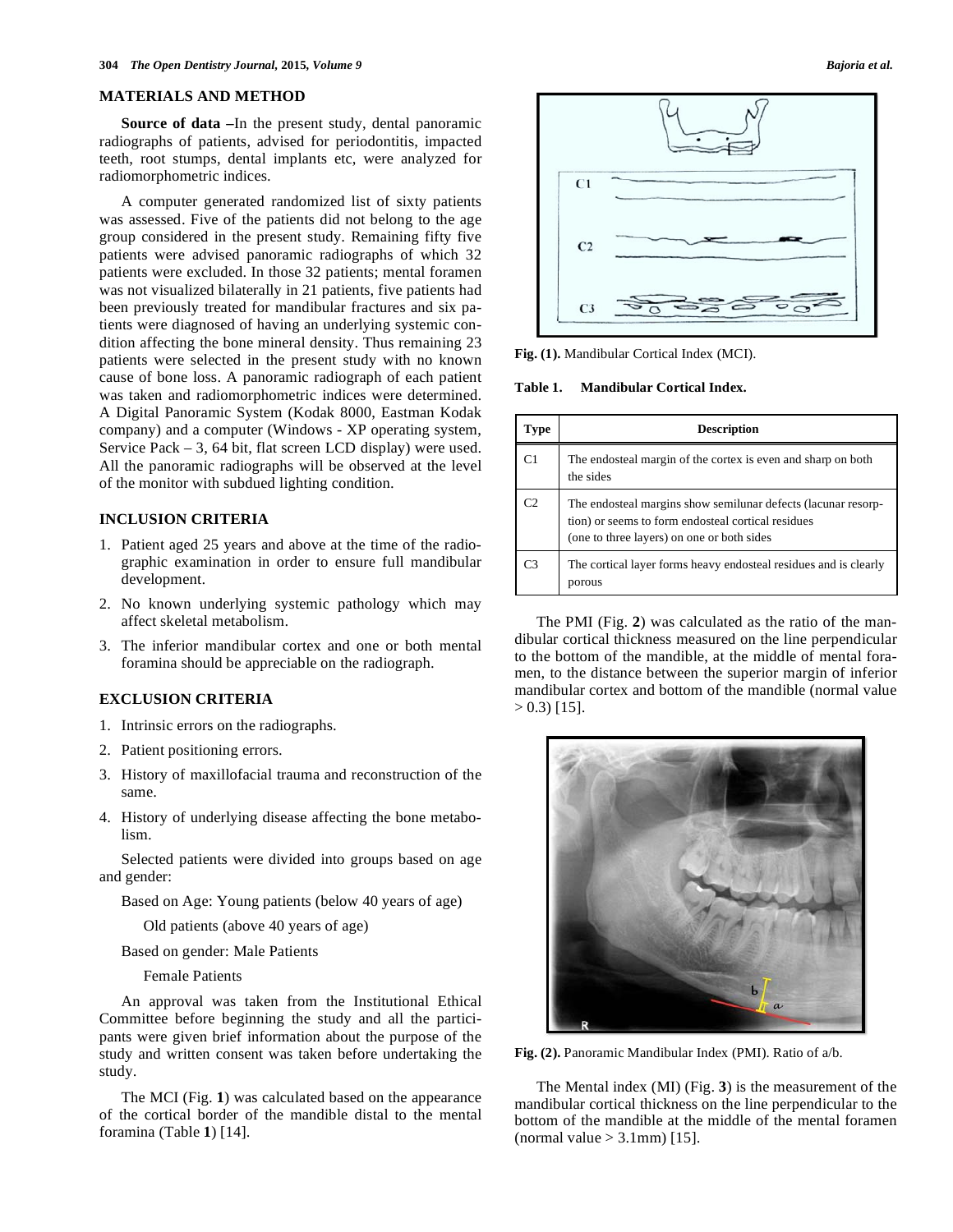#### **MATERIALS AND METHOD**

**Source of data –**In the present study, dental panoramic radiographs of patients, advised for periodontitis, impacted teeth, root stumps, dental implants etc, were analyzed for radiomorphometric indices.

A computer generated randomized list of sixty patients was assessed. Five of the patients did not belong to the age group considered in the present study. Remaining fifty five patients were advised panoramic radiographs of which 32 patients were excluded. In those 32 patients; mental foramen was not visualized bilaterally in 21 patients, five patients had been previously treated for mandibular fractures and six patients were diagnosed of having an underlying systemic condition affecting the bone mineral density. Thus remaining 23 patients were selected in the present study with no known cause of bone loss. A panoramic radiograph of each patient was taken and radiomorphometric indices were determined. A Digital Panoramic System (Kodak 8000, Eastman Kodak company) and a computer (Windows - XP operating system, Service Pack – 3, 64 bit, flat screen LCD display) were used. All the panoramic radiographs will be observed at the level of the monitor with subdued lighting condition.

## **INCLUSION CRITERIA**

- 1. Patient aged 25 years and above at the time of the radiographic examination in order to ensure full mandibular development.
- 2. No known underlying systemic pathology which may affect skeletal metabolism.
- 3. The inferior mandibular cortex and one or both mental foramina should be appreciable on the radiograph.

#### **EXCLUSION CRITERIA**

- 1. Intrinsic errors on the radiographs.
- 2. Patient positioning errors.
- 3. History of maxillofacial trauma and reconstruction of the same.
- 4. History of underlying disease affecting the bone metabolism.

Selected patients were divided into groups based on age and gender:

Based on Age: Young patients (below 40 years of age)

Old patients (above 40 years of age)

Based on gender: Male Patients

Female Patients

An approval was taken from the Institutional Ethical Committee before beginning the study and all the participants were given brief information about the purpose of the study and written consent was taken before undertaking the study.

The MCI (Fig. **1**) was calculated based on the appearance of the cortical border of the mandible distal to the mental foramina (Table **1**) [14].



**Fig. (1).** Mandibular Cortical Index (MCI).

## **Table 1. Mandibular Cortical Index.**

| Type | <b>Description</b>                                                                                                                                                |
|------|-------------------------------------------------------------------------------------------------------------------------------------------------------------------|
| C1   | The endosteal margin of the cortex is even and sharp on both<br>the sides                                                                                         |
| Γ2   | The endosteal margins show semilunar defects (lacunar resorp-<br>tion) or seems to form endosteal cortical residues<br>(one to three layers) on one or both sides |
| CЗ   | The cortical layer forms heavy endosteal residues and is clearly<br>porous                                                                                        |

The PMI (Fig. **2**) was calculated as the ratio of the mandibular cortical thickness measured on the line perpendicular to the bottom of the mandible, at the middle of mental foramen, to the distance between the superior margin of inferior mandibular cortex and bottom of the mandible (normal value  $> 0.3$ ) [15].



**Fig. (2).** Panoramic Mandibular Index (PMI). Ratio of a/b.

The Mental index (MI) (Fig. **3**) is the measurement of the mandibular cortical thickness on the line perpendicular to the bottom of the mandible at the middle of the mental foramen (normal value  $> 3.1$ mm) [15].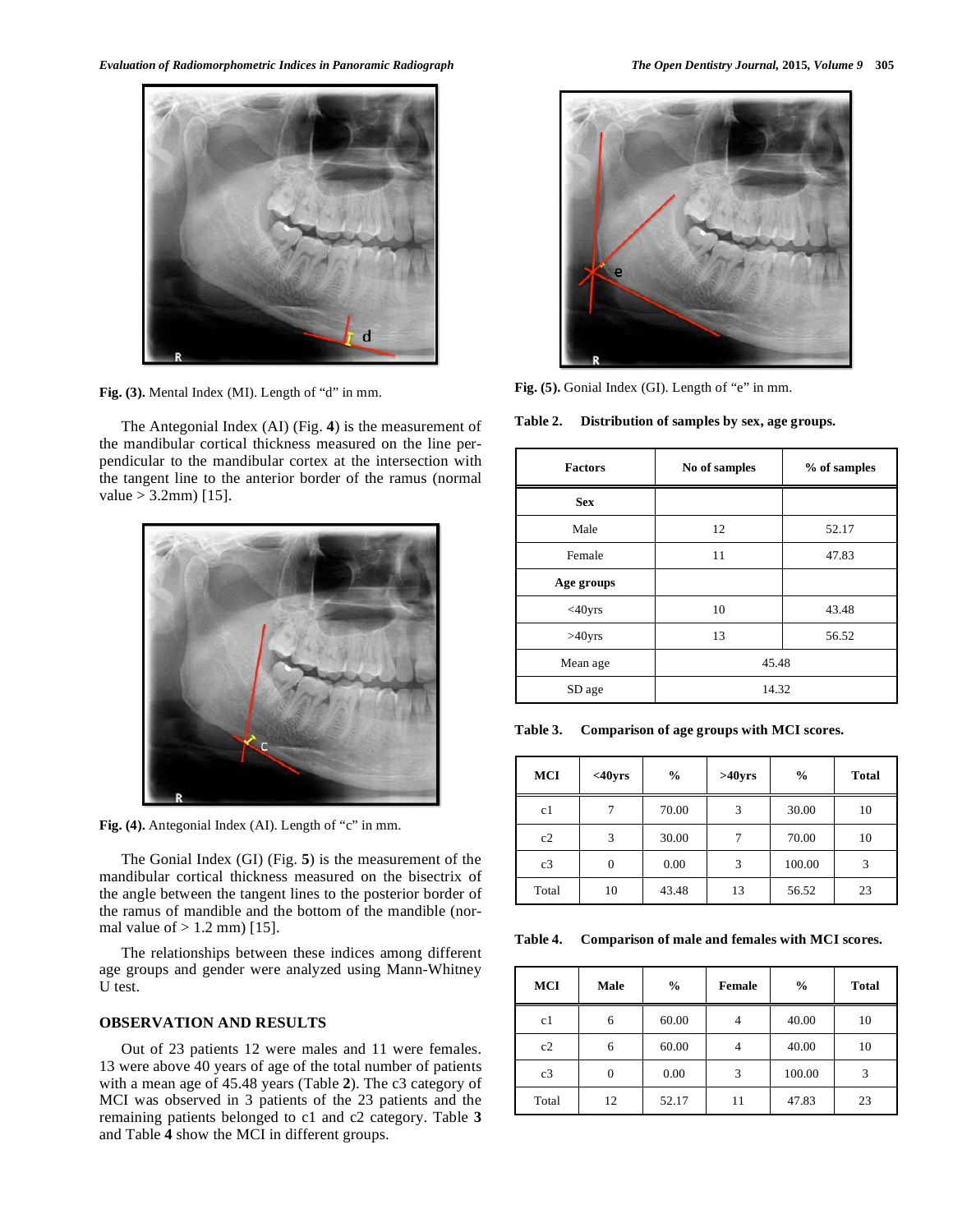*Evaluation of Radiomorphometric Indices in Panoramic Radiograph The Open Dentistry Journal,* **2015***, Volume 9* **305**



**Fig. (3).** Mental Index (MI). Length of "d" in mm.

The Antegonial Index (AI) (Fig. **4**) is the measurement of the mandibular cortical thickness measured on the line perpendicular to the mandibular cortex at the intersection with the tangent line to the anterior border of the ramus (normal  $value > 3.2mm$  [15].



**Fig. (4).** Antegonial Index (AI). Length of "c" in mm.

The Gonial Index (GI) (Fig. **5**) is the measurement of the mandibular cortical thickness measured on the bisectrix of the angle between the tangent lines to the posterior border of the ramus of mandible and the bottom of the mandible (normal value of  $> 1.2$  mm) [15].

The relationships between these indices among different age groups and gender were analyzed using Mann-Whitney U test.

#### **OBSERVATION AND RESULTS**

Out of 23 patients 12 were males and 11 were females. 13 were above 40 years of age of the total number of patients with a mean age of 45.48 years (Table **2**). The c3 category of MCI was observed in 3 patients of the 23 patients and the remaining patients belonged to c1 and c2 category. Table **3** and Table **4** show the MCI in different groups.



**Fig. (5).** Gonial Index (GI). Length of "e" in mm.

**Table 2. Distribution of samples by sex, age groups.** 

| <b>Factors</b> | No of samples | % of samples |  |
|----------------|---------------|--------------|--|
| <b>Sex</b>     |               |              |  |
| Male           | 12            | 52.17        |  |
| Female         | 11            | 47.83        |  |
| Age groups     |               |              |  |
| $<$ 40yrs      | 10            | 43.48        |  |
| $>40$ yrs      | 13            | 56.52        |  |
| Mean age       | 45.48         |              |  |
| SD age         | 14.32         |              |  |

**Table 3. Comparison of age groups with MCI scores.** 

| <b>MCI</b> | $<$ 40yrs      | $\frac{6}{9}$ | $>40$ yrs | $\frac{6}{9}$ | <b>Total</b> |
|------------|----------------|---------------|-----------|---------------|--------------|
| c1         |                | 70.00         | 3         | 30.00         | 10           |
| c2         | 3              | 30.00         |           | 70.00         | 10           |
| c3         | $\overline{0}$ | 0.00          | 3         | 100.00        | 3            |
| Total      | 10             | 43.48         | 13        | 56.52         | 23           |

**Table 4. Comparison of male and females with MCI scores.** 

| <b>MCI</b> | Male     | $\frac{0}{0}$ | Female | $\frac{0}{0}$ | <b>Total</b> |
|------------|----------|---------------|--------|---------------|--------------|
| c1         | 6        | 60.00         |        | 40.00         | 10           |
| c2         | 6        | 60.00         |        | 40.00         | 10           |
| c3         | $\Omega$ | 0.00          | 3      | 100.00        | 3            |
| Total      | 12       | 52.17         | 11     | 47.83         | 23           |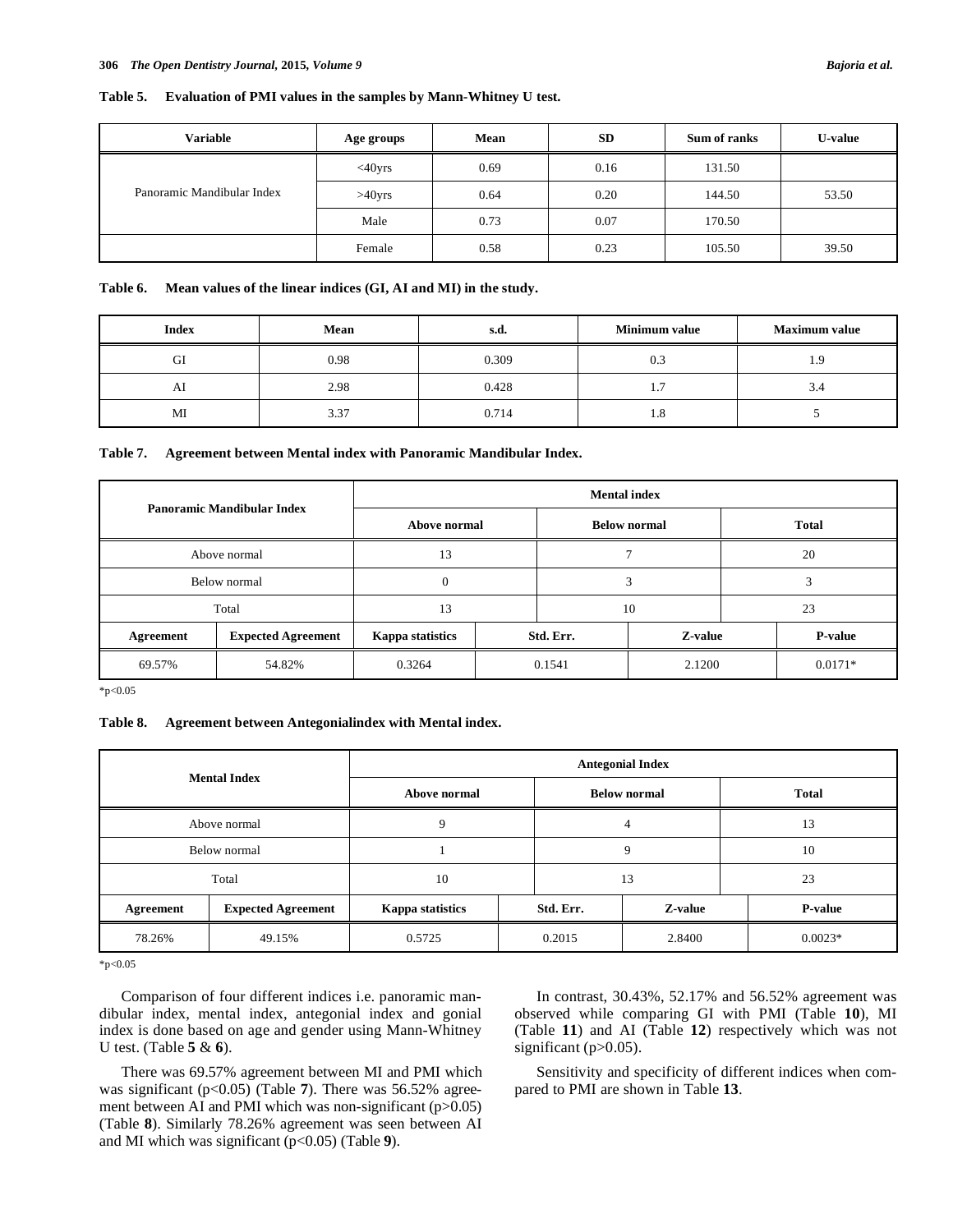#### **Table 5. Evaluation of PMI values in the samples by Mann-Whitney U test.**

| <b>Variable</b>            | Age groups   | Mean | <b>SD</b> | Sum of ranks | <b>U-value</b> |
|----------------------------|--------------|------|-----------|--------------|----------------|
|                            | $<$ 40 $yrs$ | 0.69 | 0.16      | 131.50       |                |
| Panoramic Mandibular Index | $>40$ yrs    | 0.64 | 0.20      | 144.50       | 53.50          |
|                            | Male         | 0.73 | 0.07      | 170.50       |                |
|                            | Female       | 0.58 | 0.23      | 105.50       | 39.50          |

#### **Table 6. Mean values of the linear indices (GI, AI and MI) in the study.**

| <b>Index</b> | Mean | s.a.  | Minimum value | <b>Maximum value</b> |
|--------------|------|-------|---------------|----------------------|
| GI           | 0.98 | 0.309 | 0.3           | 1.9                  |
| Al           | 2.98 | 0.428 | 1.7           | 3.4                  |
| MI           | 3.37 | 0.714 | 1.8           |                      |

#### **Table 7. Agreement between Mental index with Panoramic Mandibular Index.**

| Panoramic Mandibular Index |                           | <b>Mental index</b> |  |                     |         |  |              |
|----------------------------|---------------------------|---------------------|--|---------------------|---------|--|--------------|
|                            |                           | Above normal        |  | <b>Below normal</b> |         |  | <b>Total</b> |
| Above normal               |                           | 13                  |  |                     |         |  | 20           |
| Below normal               |                           | $\boldsymbol{0}$    |  | 3                   |         |  |              |
| Total                      |                           | 13                  |  | 10                  |         |  | 23           |
| Agreement                  | <b>Expected Agreement</b> | Kappa statistics    |  | Std. Err.           | Z-value |  | P-value      |
| 69.57%                     | 54.82%                    | 0.3264              |  | 0.1541              | 2.1200  |  | $0.0171*$    |

\*p<0.05

#### **Table 8. Agreement between Antegonialindex with Mental index.**

| <b>Mental Index</b> |                           | <b>Antegonial Index</b> |  |                      |    |  |                |
|---------------------|---------------------------|-------------------------|--|----------------------|----|--|----------------|
|                     |                           | Above normal            |  | <b>Below normal</b>  |    |  | <b>Total</b>   |
|                     | Above normal              | 9                       |  |                      | 4  |  | 13             |
| Below normal        |                           |                         |  | 9                    |    |  | 10             |
|                     | Total                     | 10                      |  |                      | 13 |  | 23             |
| Agreement           | <b>Expected Agreement</b> | Kappa statistics        |  | Z-value<br>Std. Err. |    |  | <b>P-value</b> |
| 78.26%              | 49.15%                    | 0.5725                  |  | 0.2015<br>2.8400     |    |  | $0.0023*$      |

 $*p<0.05$ 

Comparison of four different indices i.e. panoramic mandibular index, mental index, antegonial index and gonial index is done based on age and gender using Mann-Whitney U test. (Table **5** & **6**).

There was 69.57% agreement between MI and PMI which was significant (p<0.05) (Table 7). There was 56.52% agreement between AI and PMI which was non-significant (p>0.05) (Table **8**). Similarly 78.26% agreement was seen between AI and MI which was significant (p<0.05) (Table **9**).

In contrast, 30.43%, 52.17% and 56.52% agreement was observed while comparing GI with PMI (Table **10**), MI (Table **11**) and AI (Table **12**) respectively which was not significant (p>0.05).

Sensitivity and specificity of different indices when compared to PMI are shown in Table **13**.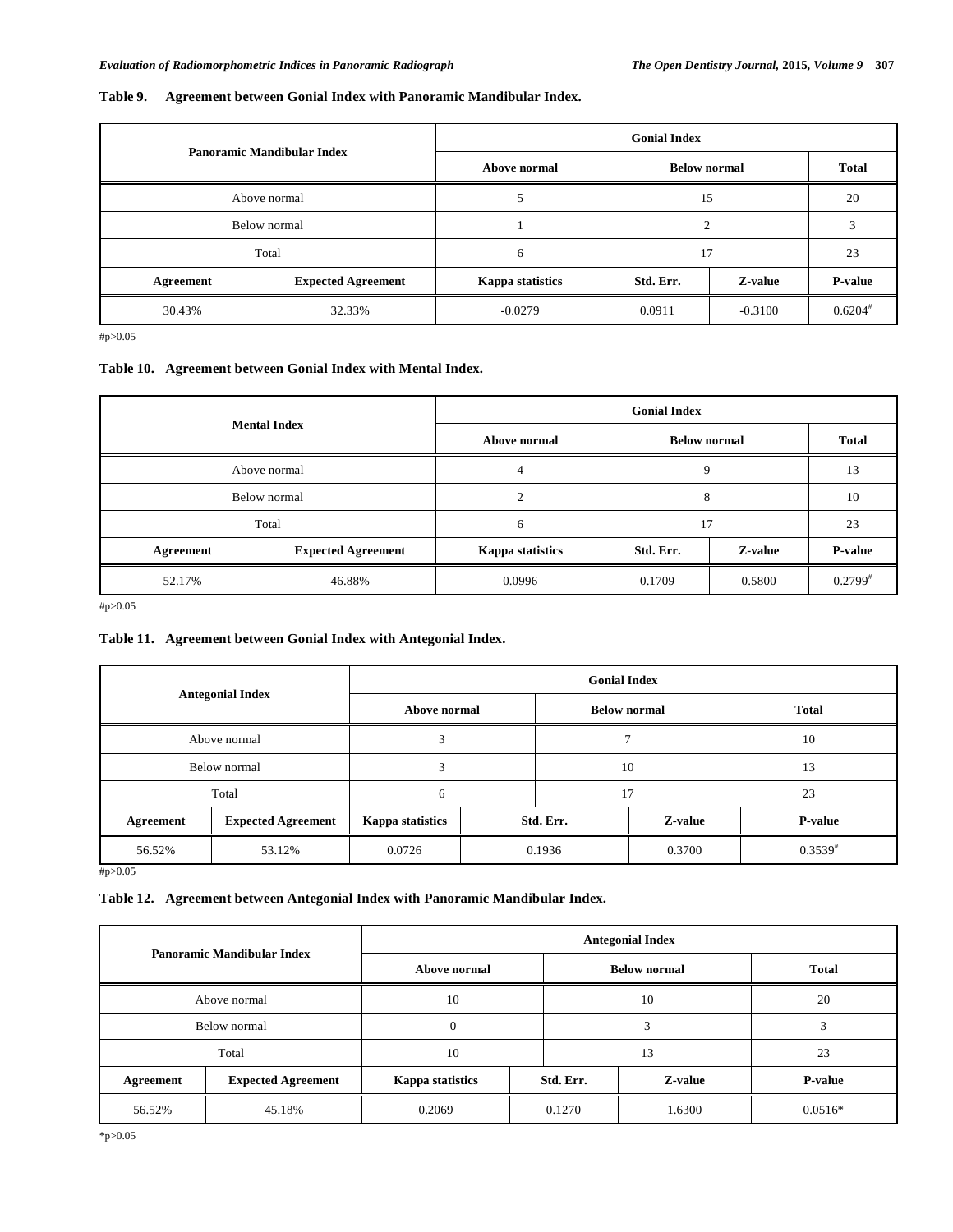## **Table 9. Agreement between Gonial Index with Panoramic Mandibular Index.**

| Panoramic Mandibular Index |                           | <b>Gonial Index</b>     |                      |              |           |  |  |
|----------------------------|---------------------------|-------------------------|----------------------|--------------|-----------|--|--|
|                            |                           | Above normal            | <b>Below normal</b>  | <b>Total</b> |           |  |  |
|                            | Above normal              |                         |                      | 15           |           |  |  |
|                            | Below normal              |                         | ◠                    |              | 3         |  |  |
|                            | Total                     |                         | 17                   |              | 23        |  |  |
| Agreement                  | <b>Expected Agreement</b> | <b>Kappa statistics</b> | Z-value<br>Std. Err. |              | P-value   |  |  |
| 30.43%                     | 32.33%                    | $-0.0279$               | 0.0911               | $-0.3100$    | $0.6204*$ |  |  |

#p>0.05

#### **Table 10. Agreement between Gonial Index with Mental Index.**

| <b>Mental Index</b> |                           | <b>Gonial Index</b>     |                      |                     |                |  |  |
|---------------------|---------------------------|-------------------------|----------------------|---------------------|----------------|--|--|
|                     |                           | Above normal            |                      | <b>Below normal</b> |                |  |  |
|                     | Above normal              | 4                       |                      | 9                   |                |  |  |
|                     | Below normal              |                         | 8                    |                     | 10             |  |  |
|                     | Total                     | 17<br>6                 |                      |                     | 23             |  |  |
| Agreement           | <b>Expected Agreement</b> | <b>Kappa statistics</b> | Z-value<br>Std. Err. |                     | <b>P-value</b> |  |  |
| 52.17%              | 46.88%                    | 0.0996                  | 0.1709               | 0.5800              | $0.2799^{*}$   |  |  |

#p>0.05

## **Table 11. Agreement between Gonial Index with Antegonial Index.**

| <b>Antegonial Index</b>                 |                           | <b>Gonial Index</b> |        |                      |        |                |  |
|-----------------------------------------|---------------------------|---------------------|--------|----------------------|--------|----------------|--|
|                                         |                           | Above normal        |        | <b>Below normal</b>  |        | <b>Total</b>   |  |
| Above normal                            |                           |                     |        |                      |        | 10             |  |
|                                         | Below normal              | 3                   |        | 10                   |        | 13             |  |
|                                         | Total                     | 6                   |        | 17                   |        | 23             |  |
| Agreement                               | <b>Expected Agreement</b> | Kappa statistics    |        | Std. Err.<br>Z-value |        | <b>P-value</b> |  |
| 56.52%<br>$\cdots$ $\sim$ $\sim$ $\sim$ | 53.12%                    | 0.0726              | 0.1936 |                      | 0.3700 | $0.3539^{*}$   |  |

#p>0.05

## **Table 12. Agreement between Antegonial Index with Panoramic Mandibular Index.**

| Panoramic Mandibular Index |                           | <b>Antegonial Index</b> |           |                     |              |  |  |
|----------------------------|---------------------------|-------------------------|-----------|---------------------|--------------|--|--|
|                            |                           | Above normal            |           | <b>Below normal</b> | <b>Total</b> |  |  |
|                            | Above normal              |                         |           | 10                  | 20           |  |  |
|                            | Below normal              |                         |           | 3                   | 3            |  |  |
|                            | Total                     |                         | 13<br>10  |                     | 23           |  |  |
| Agreement                  | <b>Expected Agreement</b> | Kappa statistics        | Std. Err. | Z-value             | P-value      |  |  |
| 56.52%                     | 45.18%                    | 0.2069                  | 0.1270    | 1.6300              | $0.0516*$    |  |  |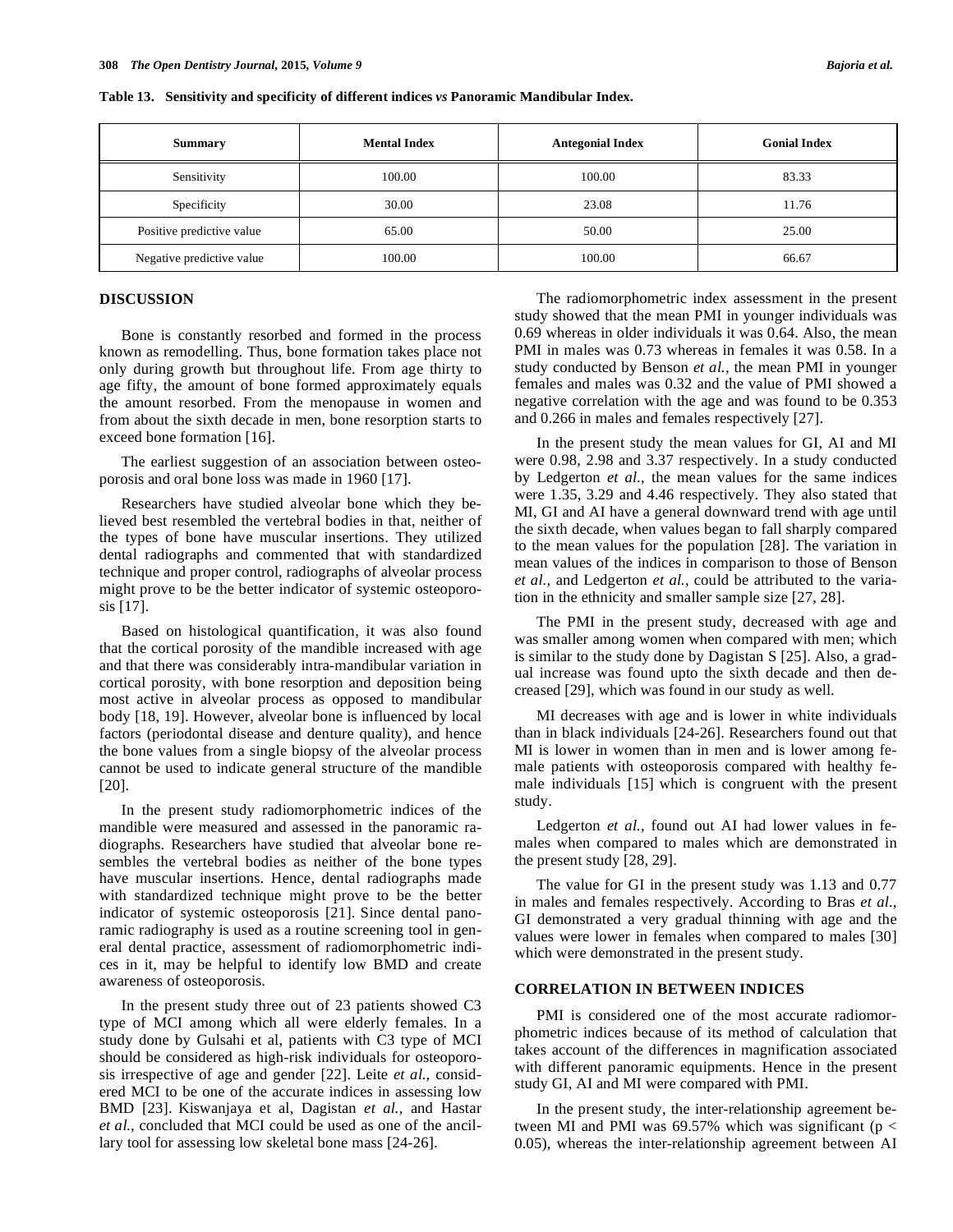| <b>Summary</b>            | <b>Mental Index</b> | <b>Antegonial Index</b> | <b>Gonial Index</b> |
|---------------------------|---------------------|-------------------------|---------------------|
| Sensitivity               | 100.00              | 100.00                  | 83.33               |
| Specificity               | 30.00               | 23.08                   | 11.76               |
| Positive predictive value | 65.00               | 50.00                   | 25.00               |
| Negative predictive value | 100.00              | 100.00                  | 66.67               |

## **DISCUSSION**

Bone is constantly resorbed and formed in the process known as remodelling. Thus, bone formation takes place not only during growth but throughout life. From age thirty to age fifty, the amount of bone formed approximately equals the amount resorbed. From the menopause in women and from about the sixth decade in men, bone resorption starts to exceed bone formation [16].

The earliest suggestion of an association between osteoporosis and oral bone loss was made in 1960 [17].

Researchers have studied alveolar bone which they believed best resembled the vertebral bodies in that, neither of the types of bone have muscular insertions. They utilized dental radiographs and commented that with standardized technique and proper control, radiographs of alveolar process might prove to be the better indicator of systemic osteoporosis [17].

Based on histological quantification, it was also found that the cortical porosity of the mandible increased with age and that there was considerably intra-mandibular variation in cortical porosity, with bone resorption and deposition being most active in alveolar process as opposed to mandibular body [18, 19]. However, alveolar bone is influenced by local factors (periodontal disease and denture quality), and hence the bone values from a single biopsy of the alveolar process cannot be used to indicate general structure of the mandible [20].

In the present study radiomorphometric indices of the mandible were measured and assessed in the panoramic radiographs. Researchers have studied that alveolar bone resembles the vertebral bodies as neither of the bone types have muscular insertions. Hence, dental radiographs made with standardized technique might prove to be the better indicator of systemic osteoporosis [21]. Since dental panoramic radiography is used as a routine screening tool in general dental practice, assessment of radiomorphometric indices in it, may be helpful to identify low BMD and create awareness of osteoporosis.

In the present study three out of 23 patients showed C3 type of MCI among which all were elderly females. In a study done by Gulsahi et al, patients with C3 type of MCI should be considered as high-risk individuals for osteoporosis irrespective of age and gender [22]. Leite *et al.,* considered MCI to be one of the accurate indices in assessing low BMD [23]. Kiswanjaya et al, Dagistan *et al.,* and Hastar *et al.,* concluded that MCI could be used as one of the ancillary tool for assessing low skeletal bone mass [24-26].

The radiomorphometric index assessment in the present study showed that the mean PMI in younger individuals was 0.69 whereas in older individuals it was 0.64. Also, the mean PMI in males was 0.73 whereas in females it was 0.58. In a study conducted by Benson *et al.,* the mean PMI in younger females and males was 0.32 and the value of PMI showed a negative correlation with the age and was found to be 0.353 and 0.266 in males and females respectively [27].

In the present study the mean values for GI, AI and MI were 0.98, 2.98 and 3.37 respectively. In a study conducted by Ledgerton *et al.,* the mean values for the same indices were 1.35, 3.29 and 4.46 respectively. They also stated that MI, GI and AI have a general downward trend with age until the sixth decade, when values began to fall sharply compared to the mean values for the population [28]. The variation in mean values of the indices in comparison to those of Benson *et al.,* and Ledgerton *et al.,* could be attributed to the variation in the ethnicity and smaller sample size [27, 28].

The PMI in the present study, decreased with age and was smaller among women when compared with men; which is similar to the study done by Dagistan S [25]. Also, a gradual increase was found upto the sixth decade and then decreased [29], which was found in our study as well.

MI decreases with age and is lower in white individuals than in black individuals [24-26]. Researchers found out that MI is lower in women than in men and is lower among female patients with osteoporosis compared with healthy female individuals [15] which is congruent with the present study.

Ledgerton *et al.*, found out AI had lower values in females when compared to males which are demonstrated in the present study [28, 29].

The value for GI in the present study was 1.13 and 0.77 in males and females respectively. According to Bras *et al*., GI demonstrated a very gradual thinning with age and the values were lower in females when compared to males [30] which were demonstrated in the present study.

## **CORRELATION IN BETWEEN INDICES**

PMI is considered one of the most accurate radiomorphometric indices because of its method of calculation that takes account of the differences in magnification associated with different panoramic equipments. Hence in the present study GI, AI and MI were compared with PMI.

In the present study, the inter-relationship agreement between MI and PMI was 69.57% which was significant ( $p <$ 0.05), whereas the inter-relationship agreement between AI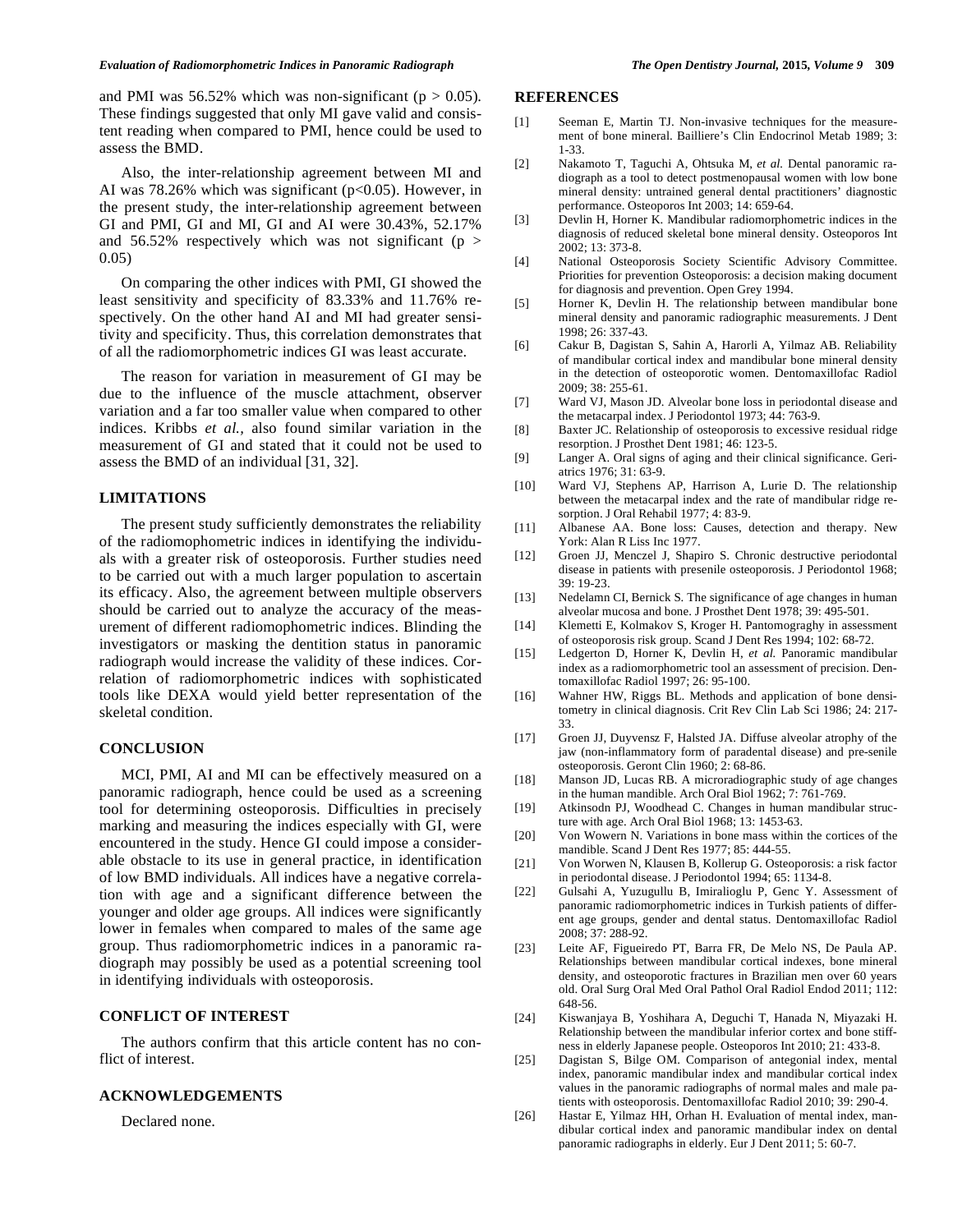#### *Evaluation of Radiomorphometric Indices in Panoramic Radiograph The Open Dentistry Journal,* **2015***, Volume 9* **309**

and PMI was  $56.52\%$  which was non-significant ( $p > 0.05$ ). These findings suggested that only MI gave valid and consistent reading when compared to PMI, hence could be used to assess the BMD.

Also, the inter-relationship agreement between MI and AI was  $78.26\%$  which was significant ( $p<0.05$ ). However, in the present study, the inter-relationship agreement between GI and PMI, GI and MI, GI and AI were 30.43%, 52.17% and 56.52% respectively which was not significant ( $p >$ 0.05)

On comparing the other indices with PMI, GI showed the least sensitivity and specificity of 83.33% and 11.76% respectively. On the other hand AI and MI had greater sensitivity and specificity. Thus, this correlation demonstrates that of all the radiomorphometric indices GI was least accurate.

The reason for variation in measurement of GI may be due to the influence of the muscle attachment, observer variation and a far too smaller value when compared to other indices. Kribbs *et al.,* also found similar variation in the measurement of GI and stated that it could not be used to assess the BMD of an individual [31, 32].

## **LIMITATIONS**

The present study sufficiently demonstrates the reliability of the radiomophometric indices in identifying the individuals with a greater risk of osteoporosis. Further studies need to be carried out with a much larger population to ascertain its efficacy. Also, the agreement between multiple observers should be carried out to analyze the accuracy of the measurement of different radiomophometric indices. Blinding the investigators or masking the dentition status in panoramic radiograph would increase the validity of these indices. Correlation of radiomorphometric indices with sophisticated tools like DEXA would yield better representation of the skeletal condition.

## **CONCLUSION**

MCI, PMI, AI and MI can be effectively measured on a panoramic radiograph, hence could be used as a screening tool for determining osteoporosis. Difficulties in precisely marking and measuring the indices especially with GI, were encountered in the study. Hence GI could impose a considerable obstacle to its use in general practice, in identification of low BMD individuals. All indices have a negative correlation with age and a significant difference between the younger and older age groups. All indices were significantly lower in females when compared to males of the same age group. Thus radiomorphometric indices in a panoramic radiograph may possibly be used as a potential screening tool in identifying individuals with osteoporosis.

## **CONFLICT OF INTEREST**

The authors confirm that this article content has no conflict of interest.

## **ACKNOWLEDGEMENTS**

Declared none.

#### **REFERENCES**

- [1] Seeman E, Martin TJ. Non-invasive techniques for the measurement of bone mineral. Bailliere's Clin Endocrinol Metab 1989; 3: 1-33.
- [2] Nakamoto T, Taguchi A, Ohtsuka M, *et al.* Dental panoramic radiograph as a tool to detect postmenopausal women with low bone mineral density: untrained general dental practitioners' diagnostic performance. Osteoporos Int 2003; 14: 659-64.
- [3] Devlin H, Horner K. Mandibular radiomorphometric indices in the diagnosis of reduced skeletal bone mineral density. Osteoporos Int 2002; 13: 373-8.
- [4] National Osteoporosis Society Scientific Advisory Committee. Priorities for prevention Osteoporosis: a decision making document for diagnosis and prevention. Open Grey 1994.
- [5] Horner K, Devlin H. The relationship between mandibular bone mineral density and panoramic radiographic measurements. J Dent 1998; 26: 337-43.
- [6] Cakur B, Dagistan S, Sahin A, Harorli A, Yilmaz AB. Reliability of mandibular cortical index and mandibular bone mineral density in the detection of osteoporotic women. Dentomaxillofac Radiol 2009; 38: 255-61.
- [7] Ward VJ, Mason JD. Alveolar bone loss in periodontal disease and the metacarpal index. J Periodontol 1973; 44: 763-9.
- [8] Baxter JC. Relationship of osteoporosis to excessive residual ridge resorption. J Prosthet Dent 1981; 46: 123-5.
- [9] Langer A. Oral signs of aging and their clinical significance. Geriatrics 1976; 31: 63-9.
- [10] Ward VJ, Stephens AP, Harrison A, Lurie D. The relationship between the metacarpal index and the rate of mandibular ridge resorption. J Oral Rehabil 1977; 4: 83-9.
- [11] Albanese AA. Bone loss: Causes, detection and therapy. New York: Alan R Liss Inc 1977.
- [12] Groen JJ, Menczel J, Shapiro S. Chronic destructive periodontal disease in patients with presenile osteoporosis. J Periodontol 1968; 39: 19-23.
- [13] Nedelamn CI, Bernick S. The significance of age changes in human alveolar mucosa and bone. J Prosthet Dent 1978; 39: 495-501.
- [14] Klemetti E, Kolmakov S, Kroger H. Pantomograghy in assessment of osteoporosis risk group. Scand J Dent Res 1994; 102: 68-72.
- [15] Ledgerton D, Horner K, Devlin H, *et al.* Panoramic mandibular index as a radiomorphometric tool an assessment of precision. Dentomaxillofac Radiol 1997; 26: 95-100.
- [16] Wahner HW, Riggs BL. Methods and application of bone densitometry in clinical diagnosis. Crit Rev Clin Lab Sci 1986; 24: 217- 33.
- [17] Groen JJ, Duyvensz F, Halsted JA. Diffuse alveolar atrophy of the jaw (non-inflammatory form of paradental disease) and pre-senile osteoporosis. Geront Clin 1960; 2: 68-86.
- [18] Manson JD, Lucas RB. A microradiographic study of age changes in the human mandible. Arch Oral Biol 1962; 7: 761-769.
- [19] Atkinsodn PJ, Woodhead C. Changes in human mandibular structure with age. Arch Oral Biol 1968; 13: 1453-63.
- [20] Von Wowern N. Variations in bone mass within the cortices of the mandible. Scand J Dent Res 1977; 85: 444-55.
- [21] Von Worwen N, Klausen B, Kollerup G. Osteoporosis: a risk factor in periodontal disease. J Periodontol 1994; 65: 1134-8.
- [22] Gulsahi A, Yuzugullu B, Imiralioglu P, Genc Y. Assessment of panoramic radiomorphometric indices in Turkish patients of different age groups, gender and dental status. Dentomaxillofac Radiol 2008; 37: 288-92.
- [23] Leite AF, Figueiredo PT, Barra FR, De Melo NS, De Paula AP. Relationships between mandibular cortical indexes, bone mineral density, and osteoporotic fractures in Brazilian men over 60 years old. Oral Surg Oral Med Oral Pathol Oral Radiol Endod 2011; 112: 648-56.
- [24] Kiswanjaya B, Yoshihara A, Deguchi T, Hanada N, Miyazaki H. Relationship between the mandibular inferior cortex and bone stiffness in elderly Japanese people. Osteoporos Int 2010; 21: 433-8.
- [25] Dagistan S, Bilge OM. Comparison of antegonial index, mental index, panoramic mandibular index and mandibular cortical index values in the panoramic radiographs of normal males and male patients with osteoporosis. Dentomaxillofac Radiol 2010; 39: 290-4.
- [26] Hastar E, Yilmaz HH, Orhan H. Evaluation of mental index, mandibular cortical index and panoramic mandibular index on dental panoramic radiographs in elderly. Eur J Dent 2011; 5: 60-7.